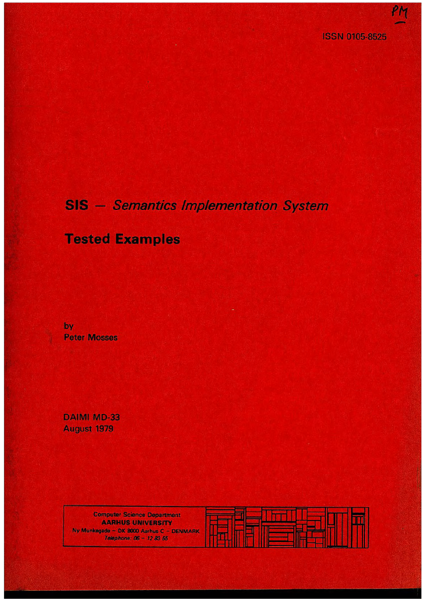## **SIS** - Semantics Implementation System

## **Tested Examples**

by **Peter Mosses** 

DAIMI MD-33 August 1979

> **Computer Science Department AARHUS UNIVERSITY** Ny Munkegade - DK 8000 Aarhus C - DENMARK Telephone: 06 - 12 83 55

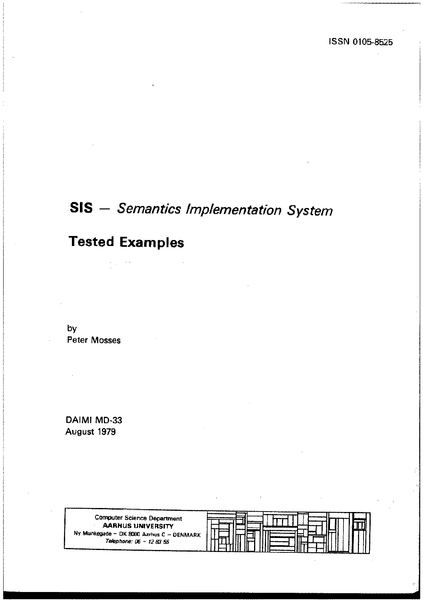# SIS - *Semantics Implementation System*

## Tested Examples

by Peter Mosses

DAIMI MD-33 August 1979

> Computer Science Department **AARHUS** UNIVERSITY Ny Munkegade - DK 8000 Aarhus C - DENMARK *Telephone: 06- 72 83 55*

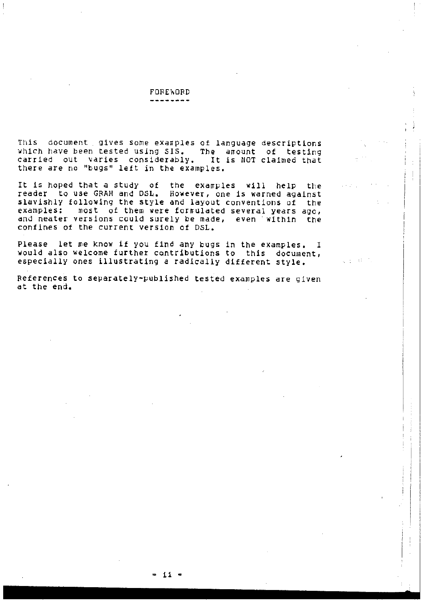#### **FORE\ORD** . . . . . . . . .

Ą

give about

This document gives some examples of language descriptions which have been tested using SIS. The amount of testing<br>carried out varies considerably. It is NOT claimed that there are no "bugs" left in the examples. claimed that

It is hoped that a study of the examples will help the reader to use GRAM and DSL. However, one is warned against slavishlY following the style and layout conventions of the examples: most of them were forrrulated several years ago, and neater versions could surely be made, even within the confines ot the current version of DSL.

Please let me know if you find any bugs in the examples. I would also welcome further contributions to this document, especiallY ones illustrating a radically different style.

References to separately~published tested examples are given at the end.

- il -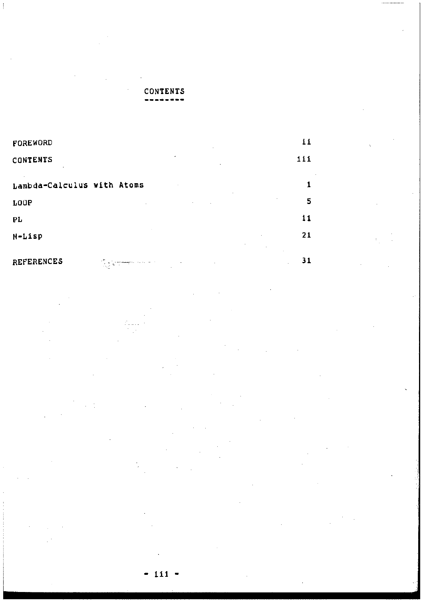## CONTENTS

Ţ

| FOREWORD                                                                                                                                                                                                                                                                                                                                                               | 11  |
|------------------------------------------------------------------------------------------------------------------------------------------------------------------------------------------------------------------------------------------------------------------------------------------------------------------------------------------------------------------------|-----|
| CONTENTS                                                                                                                                                                                                                                                                                                                                                               | 111 |
| Lambda-Calculus with Atoms                                                                                                                                                                                                                                                                                                                                             |     |
| LOUP                                                                                                                                                                                                                                                                                                                                                                   | 5   |
| PL                                                                                                                                                                                                                                                                                                                                                                     | 11  |
| M-Lisp                                                                                                                                                                                                                                                                                                                                                                 | 21  |
|                                                                                                                                                                                                                                                                                                                                                                        |     |
| <b>REFERENCES</b><br>$\alpha=1.2$<br>$\sum_{i=1}^M \sum_{j=1}^M \sum_{j=1}^M \sum_{j=1}^M \sum_{j=1}^M \sum_{j=1}^M \sum_{j=1}^M \sum_{j=1}^M \sum_{j=1}^M \sum_{j=1}^M \sum_{j=1}^M \sum_{j=1}^M \sum_{j=1}^M \sum_{j=1}^M \sum_{j=1}^M \sum_{j=1}^M \sum_{j=1}^M \sum_{j=1}^M \sum_{j=1}^M \sum_{j=1}^M \sum_{j=1}^M \sum_{j=1}^M \sum_{j=1}^M \sum_{j=1}^M \sum_{j$ | 31  |

 $\bar{\mathbf{v}}$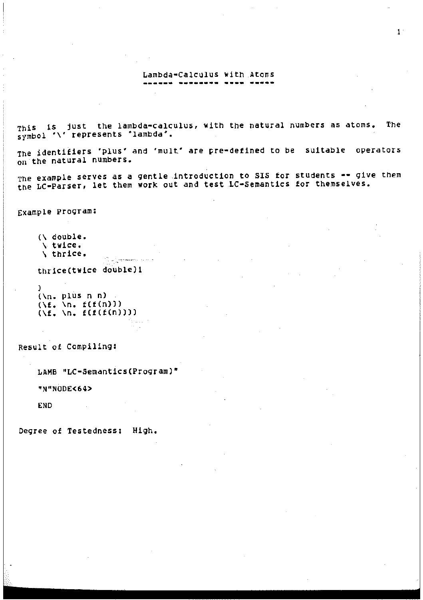### Lambda-Calculus with Atoms ------ --------

This is just the lambda=calculus, with the natural numbers as atoms. The symbol '\' represents 'lambda'.

The identifiers 'plus' and 'mult' are pre=defined to be suitable operators on the natural numbers.

The example serves as a gentle introduction to SIS for students -- give them the LC-Parser, let them work out and test LC-Semantics for themselves.

Example Program:

(\ double. \ twice. \ thrice.

thrice(twice double)l

 $\sum_{i=1}^{\infty} \frac{1}{2} \sum_{i=1}^{\infty} \frac{1}{2} \sum_{i=1}^{\infty} \frac{1}{2} \sum_{i=1}^{\infty} \frac{1}{2} \sum_{i=1}^{\infty} \frac{1}{2} \sum_{i=1}^{\infty} \frac{1}{2} \sum_{i=1}^{\infty} \frac{1}{2} \sum_{i=1}^{\infty} \frac{1}{2} \sum_{i=1}^{\infty} \frac{1}{2} \sum_{i=1}^{\infty} \frac{1}{2} \sum_{i=1}^{\infty} \frac{1}{2} \sum_{i=1}^{\infty$ 

```
) 
(\n. plus n n) 
(\f, \n, f(f(n)))<br>(\f, \n, f(f(n)))<br>(\f, \n, f(f(f(n))))
```
Result of Compiling:

LAMB "LC-Semantics (Program)"

"N"NODE<64>

END

Degree of Testedness: High.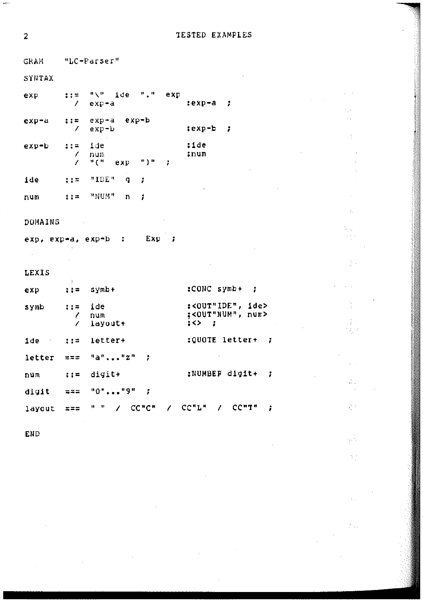**TESTED EXAMPLES** 

 $\bar{\tau}$ 

 $\mathcal{L} \subset \mathcal{L}$ 

 $\mathcal{L}$ 

y.

ţ.

t.

 $\frac{1}{2}$  .

ng p

цŽ,

é.

لكروء N)

M.

**GRAM** "LC-Parser" SYNTAX  $\cdots$ "\" ide "." exp exp  $exp-a$  $:exp-a$ - 1  $\prime$ exp-a exp-b exp-a  $: 1 =$  $exp-b$  $i$ exp-b  $\mathbf{r}$ 7 :ide  $exp-b$  $22 =$ ide num :num  $\prime$  $n \in \mathbb{N}$ **\*)** #  $\prime$ exp ÷ "IDE" ide  $1.1 \pm 1.0$  $\mathbf q$ ÷  $: : =$ "NUM"  $\mathbf{n}$ num 1 DOMAINS Exp :  $exp, exp = a, exp = b$ :  $\sim$ LEXIS :CONC symb+ ; symb+ exp  $\pm i =$ :< OUT"IDE", ide>  $\pm$   $\pm$ ide symb :<OUT"NUM", num> num 1  $\frac{1}{2}$   $\leftrightarrow$   $\frac{1}{2}$ Ż layout+ :QUOTE letter+ ide - $\mathbf{z}$  :  $=$ letter+ Ŧ  $"a"..."z"$ letter  $\ddot{ }$  $\equiv$  $\equiv$  $\equiv$ :NUMBER digit+ num  $1:2$ digit+  $\ddot{\phantom{0}}$  $"0"..."9"$ digit  $\overline{1}$  $= 22$ " " / CC"C" / CC"L" / CC"T" ÷ layout  $z = z$ 

END

 $\overline{a}$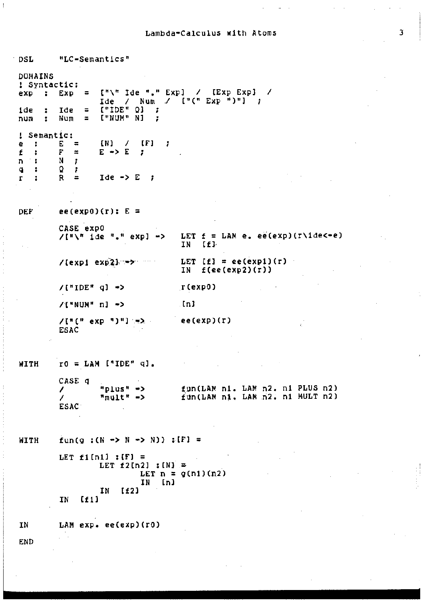### Lambda-Calculus with Atoms

 $\overline{1}$ 

| DSL                                                            | "LC-Semantics"                                                                                                                      |                                                                                                                                                                                                                                                                                                                                                                                                                                                                                                                             |
|----------------------------------------------------------------|-------------------------------------------------------------------------------------------------------------------------------------|-----------------------------------------------------------------------------------------------------------------------------------------------------------------------------------------------------------------------------------------------------------------------------------------------------------------------------------------------------------------------------------------------------------------------------------------------------------------------------------------------------------------------------|
| DOMAINS<br>! Syntactic:<br>÷.<br>exp<br>1de -<br>÷<br>num<br>÷ | 云<br>Exp<br>$[$ "IDE" $Q$ ] ;<br>1de<br>Ξ<br>I"NUM" NJ<br>Num<br>$\mathbf{r}$<br>- 1                                                | ["\" Ide "," Exp] ⁄ [Exp Exp]<br>-1<br>$\text{Ide}$ / Num / $\left[\begin{array}{cc} 1 \end{array} \right]$ $\left[\begin{array}{cc} 1 \end{array} \right]$ $\left[\begin{array}{cc} 1 \end{array} \right]$ $\left[\begin{array}{cc} 1 \end{array} \right]$ $\left[\begin{array}{cc} 1 \end{array} \right]$ $\left[\begin{array}{cc} 1 \end{array} \right]$ $\left[\begin{array}{cc} 1 \end{array} \right]$ $\left[\begin{array}{cc} 1 \end{array} \right]$ $\left[\begin{array}{cc} 1 \end{array} \right]$ $\left[\begin{$ |
| Semantic:<br>ı<br>е<br>÷<br>£<br>÷<br>n :<br>÷<br>q.<br>r<br>÷ | $[N]$ /<br>[F]<br>Е<br>Ŧ<br>Ξ<br>$E \rightarrow E$<br>F<br>霊<br>1<br>N<br>ĩ.<br>Ω<br>÷<br>$I$ de $\rightarrow$ E ;<br>R<br>$\equiv$ |                                                                                                                                                                                                                                                                                                                                                                                                                                                                                                                             |
| DEF                                                            | ee(exp0)(r): $E =$                                                                                                                  |                                                                                                                                                                                                                                                                                                                                                                                                                                                                                                                             |
|                                                                | CASE exp0<br>/["\" ide "." expl ->                                                                                                  | LET $f = LM$ e. ee(exp)(r\ide<-e)<br>IN<br>[11]                                                                                                                                                                                                                                                                                                                                                                                                                                                                             |
|                                                                | $/$ [exp1 exp2] $\rightarrow$                                                                                                       | LET $[f] = ee(exp1)(r)$<br>IN<br>f(ee(exp2)(r))                                                                                                                                                                                                                                                                                                                                                                                                                                                                             |
|                                                                | /["IDE" q] <del>-</del> >                                                                                                           | r(exp0)                                                                                                                                                                                                                                                                                                                                                                                                                                                                                                                     |
|                                                                | /["NUM" n] ~>                                                                                                                       | -InJ                                                                                                                                                                                                                                                                                                                                                                                                                                                                                                                        |
|                                                                | ESAC                                                                                                                                | ee(exp)(r)                                                                                                                                                                                                                                                                                                                                                                                                                                                                                                                  |
| WITH                                                           | $r0 = LM$ ("IDE" q).                                                                                                                |                                                                                                                                                                                                                                                                                                                                                                                                                                                                                                                             |
|                                                                | CASE q<br>"plus" -><br>$\prime$<br>™mult" -><br>Z<br><b>ESAC</b>                                                                    | fun(LAM n1. LAM n2. n1 PLUS n2)<br>fun(LAM n1. LAM n2. n1 MULT n2)                                                                                                                                                                                                                                                                                                                                                                                                                                                          |
| WITH                                                           | fun(g : $(N - N - N)$ ) : [F] =                                                                                                     |                                                                                                                                                                                                                                                                                                                                                                                                                                                                                                                             |
|                                                                | LET $f1[n1]$ : [F] =<br>LET $f2[n2]$ ; $[N] =$<br>[n]<br>ΙN<br>[12]<br>IN                                                           | LET $n = g(n1)(n2)$                                                                                                                                                                                                                                                                                                                                                                                                                                                                                                         |
|                                                                | [11]<br>ΙN                                                                                                                          |                                                                                                                                                                                                                                                                                                                                                                                                                                                                                                                             |
| ΙN                                                             | LAM exp. ee(exp)(r0)                                                                                                                |                                                                                                                                                                                                                                                                                                                                                                                                                                                                                                                             |
| <b>END</b>                                                     |                                                                                                                                     |                                                                                                                                                                                                                                                                                                                                                                                                                                                                                                                             |

 $\overline{\mathbf{3}}$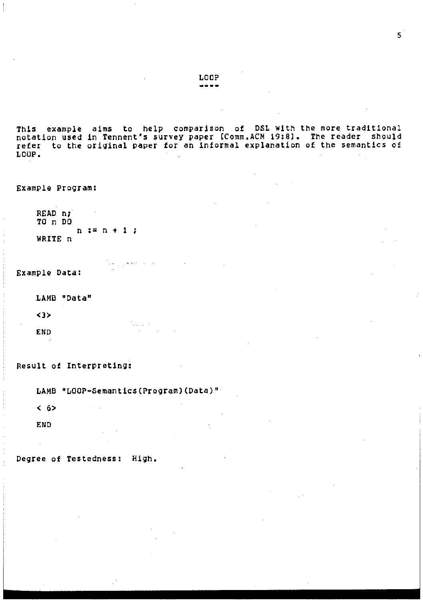This example aims to help comparison of DSL With the more traditional notation used in Tennent's survey paper [Comm.ACM 19:8]. The reader should refer to the origlnal paper for an informal explanation of the semantics of LOOP.

Example Program:

READ n; TO n DO WRITE n n := n + 1

Example Data:

LAMB "Data"

<3>

END

Result of Interpreting:

LAMB "LOOP•Semantics (Program) (Data)"

fakçiyeke a re

< 6>

END

Degree of Testedness: High.

LOOP<br>====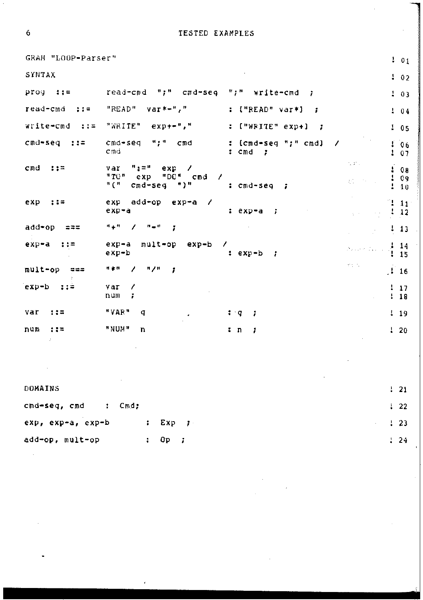TESTED EXAMPLES

| GRAM "LOOP-Parser" |                                                                                                                                  |                                                         | 101                          |
|--------------------|----------------------------------------------------------------------------------------------------------------------------------|---------------------------------------------------------|------------------------------|
| SYNTAX             |                                                                                                                                  |                                                         | 102                          |
| prog<br>- 115      | read-cmd<br>";"<br>cmd-seg                                                                                                       | 99 H.<br>write-cmd<br>÷                                 | 103                          |
| read-cmd<br>$77 =$ | "READ"<br>var*-","                                                                                                               | {"READ" var*}<br>- 1                                    | 104                          |
| write-cmd<br>土土工   | "WRITE"<br>$e^{r}$                                                                                                               | $[$ "WRITE" $exp+1$<br>- 7                              | 105                          |
| cmd-seq<br>-118    | M 2 M<br>cmd-seq<br>cmd<br>Cmd                                                                                                   | [cmd-seq ";" cmd]<br>÷<br>7<br>cmd<br>$\mathbf{r}$<br>7 | Ť.<br>06<br>$\frac{1}{2}$ 07 |
| cmd<br>→→⇒         | $\mathbf{H}$ , $\mathbf{H}$<br>var<br>exp<br>$\prime$<br>"TO"<br>"DO"<br>cmd<br>exp<br>7<br>" ( "<br>*)*<br>$c_{\text{md}}$ -seg | um.<br>批<br>: cmd-seg<br>÷                              | 08<br>09<br>10               |
| exp<br>::=         | exp<br>add+op<br>exp-a<br>exp-a                                                                                                  | : exp-a<br>7                                            | Ţ<br>$\overline{11}$<br>12   |
| add=op<br>ಇ=≈      | "+"<br>$\mathbf{B}=\mathbf{B}$<br>ï                                                                                              |                                                         | ! 13                         |
| exp-a<br>上空帯       | exp-a<br>mult-op<br>exp-b<br>exp-b                                                                                               | and a state of part<br>$:$ exp-b<br>1                   | 14<br>Ŧ<br>15                |
| mult-op<br>===     | n / 8<br>计坐标<br>,<br>÷                                                                                                           | <b>TEST</b>                                             | $\frac{1}{2}$ 16             |
| exp-b<br>11=       | var<br>7<br>;<br>num                                                                                                             |                                                         | 17<br>$\mathbf{L}$<br>18     |
| var<br>115         | "VAR"<br>q                                                                                                                       | ः प<br>7                                                | $\frac{1}{2}$ 19             |
| រាប់ព<br>$7.7 -$   | "NUM"<br>n                                                                                                                       | t n<br>,                                                | $1 - 20$                     |

| DOMAINS                                |      |                                                  | $\frac{1}{21}$   |
|----------------------------------------|------|--------------------------------------------------|------------------|
| cmd-seq, cmd<br>Cmd:<br>$\ddot{\cdot}$ |      |                                                  | $\frac{1}{2}$ 22 |
| exp, exp-a, exp-b                      |      | $\therefore$ Exp $\Rightarrow$<br>$\frac{1}{23}$ |                  |
| add-op, mult-op                        | a li | Op ;                                             | 124              |

 $\ddot{\mathbf{6}}$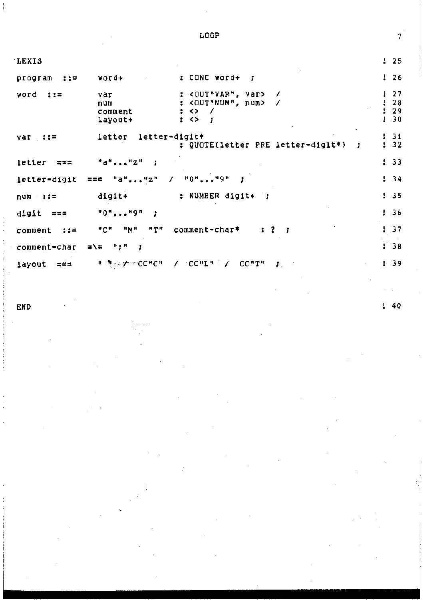| LEXIS                   |                                        |                                                                                                        | 125       |                      |
|-------------------------|----------------------------------------|--------------------------------------------------------------------------------------------------------|-----------|----------------------|
| program<br>$\cdots$     | vord+                                  | : CONC word+                                                                                           | ÷         | 26                   |
| word<br>220             | var<br>num<br>comment<br>layout+       | : <out"var", var=""><br/><out"num", num=""><br/>92<br/><math>\therefore</math></out"num",></out"var",> |           | 27<br>28<br>29<br>30 |
| var ::=                 | letter-digit*<br>letter                | : QUOTE(letter PRE letter-diglt*)<br>Ť.                                                                | 132       | 31                   |
| letter<br>$\approx 4.4$ | $"a"$ $"z"$<br>3                       |                                                                                                        | 133       |                      |
| letter-digit            | $\prime$<br>"a""z"<br>$=$ $=$ $=$      | $"0"$ $"9"$                                                                                            | 134       |                      |
| $num : :=$              | digit+                                 | : NUMBER digit+ ;                                                                                      | 135       |                      |
| digit<br>===            | "0""9"                                 |                                                                                                        | L<br>- 36 |                      |
| comment<br>- まま子        | ™ M "<br>"C"<br>"T"                    | comment-char*<br>$\mathbf{r}$ ?<br>- 1                                                                 | r         | 37                   |
| comment-char            | =∖= ";"                                |                                                                                                        | r         | 38                   |
| layout<br>$z = z$       | т ∄ <sub>о</sub> ⊵ <del>у с</del> е#см | $\lambda$ $\sim$ CC "L" $\sim$ $\lambda$<br>CC"T"<br>÷                                                 | Ŧ.        | -39                  |

END

 $\overline{\phantom{a}}$ 

LOOP

38

40 ı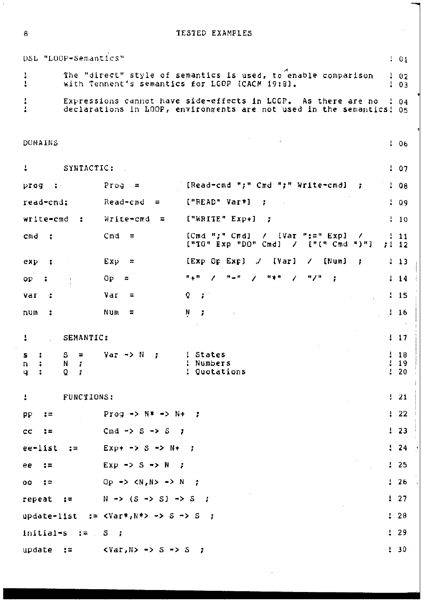**TESTED EXAMPLES** 

DSL "LOOP-Semantics"  $101$ The "direct" style of semantics is used, to enable comparison Ì  $102$ with Tennent's semantics for LGOP [CACM 19:8].  $\mathbf{1}$  $03$ 1  $\mathbf{I}$ Expressions cannot have side-effects in LCCP. As there are no  $104$ declarations in LOOP, environments are not used in the semantics! 05 ł DUMAINS  $106$ 4 SYNTACTIC:  $107$ [Read-cmd ";" Cmd ";" Write-cmd] prog  $\ddot{\phantom{a}}$ Prog  $\equiv$  $: 98$  $\mathbf{z}$ read-cmd: Read-cmd  $\equiv$ ["READ" Var\*]  $\mathbf{r}$  $109$ ["WRITE" Exp+] write-cmd  $\ddot{\phantom{a}}$ Write-cmd  $\overline{a}$ ÷  $\frac{1}{2}$  10  $C<sub>m</sub>d$ ECmd ":" Cmdl  $\mathcal{L}$  $[Var ":=" Exp]$  $C<sub>m</sub>d$ ÷  $\equiv$  $111$ ["IO" Exp "DO" Cmd]  $\overline{1}$  $[$ "(" Cmd ")"]  $7!12$ Exp  $[EXP$  Op  $Exp$   $]$ [Var]  $[Num]$  $exy$ ÷  $\ddot{ }$ ℳ 7 ÷  $113$ Oр  $\overline{a}$  $n = n$ 1  $H = H$  $\prime$  $H \neq H$ 7  $^{\prime\prime}$ F  $114$  $o<sub>P</sub>$ ÷  $\circ$  $1.15$ Var  $\mathbf{z}$ var ÷  $\equiv$ num  $\mathbf{r}$ Num  $\overline{a}$ N  $116$ SEMANTIC: Į  $\frac{1}{2}$  17  $Var \rightarrow N$ ! States 1 18 S  $\equiv$  $\mathbf{r}$ s  $\mathbf{r}$ ! Numbers  $119$ N n ÷ î  $\ddot{z}$ Q ! Quotations I 20  $\mathbf q$ Ť I FUNCTIONS:  $121$  $122$ pp  $z =$ Prog  $\rightarrow$  N\*  $\rightarrow$  N+ ×  $123$ Cmd  $\rightarrow$  S  $\rightarrow$  S  $cc$  $\ddot{ }$  =  $\cdot$ 24  $: =$ ee-list  $Exp + -> S -> N +$ ż ÷  $Exp \rightarrow S \rightarrow N$  $125$ ee  $2 =$ ÷  $126$  $00$  $\ddot{\phantom{a}}$ Op -> <N,N> -> N  $\mathbf{r}$  $N \rightarrow (S \rightarrow S) \rightarrow S$  $127$ ÷ repeat  $\mathbf{r}$  $29$  $:=$   $<sub>YaT</sub>$ ,  $N*$   $\rightarrow$   $S$   $\rightarrow$   $S$ </sub> update-list  $\overline{\boldsymbol{z}}$ Ŧ initial-s  $\frac{1}{2}$  =  $\frac{1}{2}$  $129$ s ÷  $130$ update  $\mathbf{r}$  $\langle \text{Var}, \text{N} \rangle$  -> S -> S -7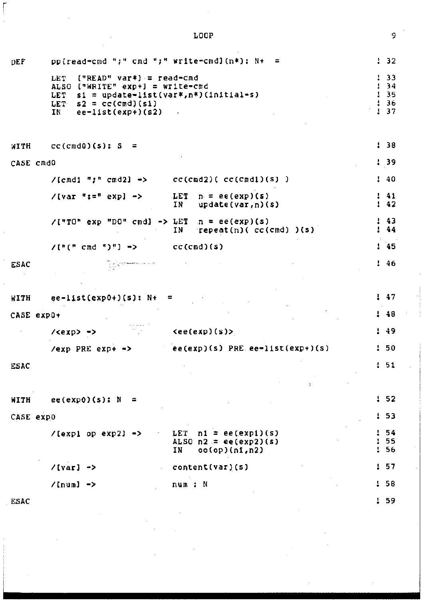#### **pp{read-cmd** ";" **cmd** ";" **write•cmdlCn\*>:** N+ = 32 DEf LET **("READ" var\*l = read•cmd**  33 ALSO **("WRITE" exp+J = write-crrd**  34 **sl = update-list(var\*,n\*lCinitial-s)**  35 LET LET  $s_1$  = update=11st 36 37 IN **ee-list(exp+)(s2)**  WITH **CC(Cmd0)(S); S** : 38 **CASE cmdO**  39  $cc(cnd2)$ ( $cc(cnd1)(s)$ ) **/[cmdl** ";" **cmd2J** •> 40 **/[var** ":=" **expJ** •> LET  $p_r = ee(exp)(s)$ <br>IN update(var.n)( 41 42  $update(var,n)(s)$  $\mathbf{I}$ **/["TO" exp "DD" cmdl -> LET n = ee(exp)(s)**  43 **IN repeat(nl( cc<cmd) )(s)**  44 /["(" **cmd "l"l** •> **cc(cmd)(s)**  45 46 ESAC ile per<del>enta</del>n men 47 WITH  $ee=list(exp0+)(s): N+ =$ **CASE expO+**  48 **l<exp>** -> **<ee(eXp)(s)>**  49 **/exp PRE exp+** •> ee(expl(sl PRE ee·list(exp+)(sl 50 ESAC 51 WITH  $ee(exp0)(s)$ : N = 52 53 CASE **expO**  54 /[expl **op exp2l** ·> LET **nl = ee(exp1)(s)**  ALSO  $n2 = ee(exp2)(s)$ <br>IN  $oo(op)(n1, n2)$ 55 56 IN **ooCop)Cnt,n2)**  57 **/[varJ** ·> **content (var) (s)**  /[numl ·> **num** *:* **<sup>N</sup>** 58 ESAC 59

LOOP

r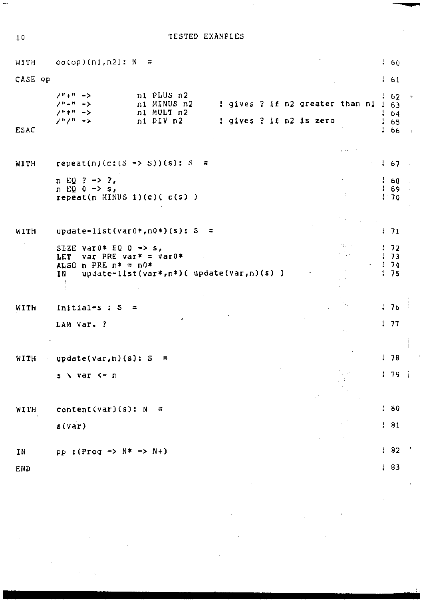$10<sub>1</sub>$ 

 $\overline{a}$ 

### TESTED EXAMPLES

| WITH        | oo(op)(n1,n2): N<br>$\approx$                                                                                                                                    |                 |        | 160                            |  |
|-------------|------------------------------------------------------------------------------------------------------------------------------------------------------------------|-----------------|--------|--------------------------------|--|
| CASE op     |                                                                                                                                                                  |                 |        | 161                            |  |
| <b>ESAC</b> | ni PLUS n2<br>/*+* -><br>! gives ? if n2 greater than n1 !<br>n1 MINUS n2<br>/"-" -><br>n1 MULT n2<br>/*** -><br>! gives ? if n2 is zero<br>ノリノリー・シ<br>2ת DIV בת |                 | ı      | - 62<br>-63<br>64<br>65<br>-66 |  |
| WITH        | $repeat(n)(c:(S \rightarrow S))(s): S =$                                                                                                                         | in the          |        | 167                            |  |
|             |                                                                                                                                                                  |                 |        |                                |  |
|             | n EQ ? -> ?,<br>$n EQ = - > s$ ,<br>$repeat(n$ MINUS 1) $(c)$ ( $c(s)$ )                                                                                         | $\frac{1}{2}$ . | ŀ<br>ı | -68<br>69<br>$1 - 70$          |  |
|             |                                                                                                                                                                  |                 |        |                                |  |
| WITH        | update=list(var0*,n0*)(s): S =                                                                                                                                   |                 |        | 171                            |  |
|             | SIZE var0* EQ 0 -> s,<br>LET<br>var PRE var∗ = var0*<br>ALSO n PRE $p* = p0*$<br>$update=list(var*,n*)$ ( $update(var, n)(s)$ )<br>IΝ                            |                 | Ţ      | -72<br>-73<br>174<br>1.75      |  |
| WITH        | $initial-s : S$<br>Ξ                                                                                                                                             |                 |        | 1, 76                          |  |
|             | LAM var. ?                                                                                                                                                       |                 |        | 177                            |  |
|             |                                                                                                                                                                  |                 |        |                                |  |
| WITH        | update(var, n)(s): S<br>$\overline{a}$                                                                                                                           |                 |        | 178                            |  |
|             | s \ var <∞ n                                                                                                                                                     |                 |        | 179                            |  |
|             |                                                                                                                                                                  |                 |        |                                |  |
| <b>WITH</b> | content(var)(s): N<br>흒                                                                                                                                          |                 |        | 180                            |  |
|             | s(var)                                                                                                                                                           |                 |        | 191                            |  |
|             |                                                                                                                                                                  |                 |        | $\frac{1}{2}$ 82               |  |
| ΙN          | $pp$ : (Prog -> N* -> N+)                                                                                                                                        |                 |        |                                |  |
| END         |                                                                                                                                                                  |                 |        | 183                            |  |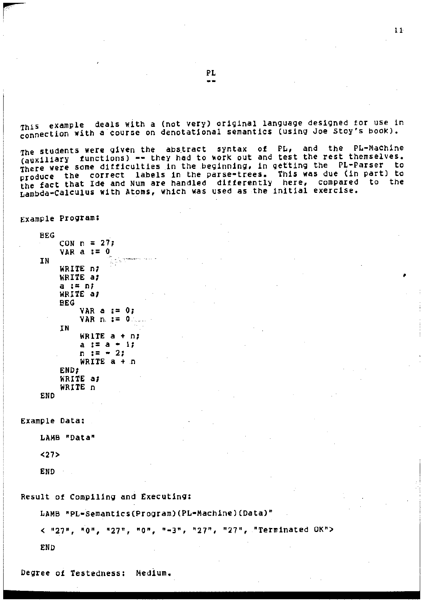ThiS example deals With a Cnot very) original language designed for use in connection with a course on denotational semantics (using Joe Stoy•s book).

The students were given the abstract syntax of PL, and the PL-Machine (auxiliary functions) -- they had to work out and test the rest themselves. There were some difficulties in the beginning, in getting the PL•Parser to produce the correct labels in the parse•trees. This was due (in part) to the fact that lde and Num are handled differently here, compared to the Lambda•CalculUS with Atoms, WhiCh was used as the initial exercise.

Example Program:

```
BEG 
    CON n = 27;
    VAR a := 0<u>i geneman</u>
IN 
    WRITE n; 
    WRITE a; 
    a := n; 
    WRITE a; 
    BEG 
         VARa:=O; 
         VAR n. := 0 
    IN 
         WRITE a + n; 
         a:=a•1; 
         n : = -2;WRITE a + n<br>END:
    WRITE a; 
    WRITE n
```

```
END
```

```
Example Data;
```
LAMB "Data"

<27>

END

Result of Compiling and Executing:

LAMB "PL-Semantics(Program)(PL-Machine)(Data)"

< "27", "0", "27", "0", "-3", "27", "27", "Terminated OK">

END

Degree of Testedness: Medium.

PL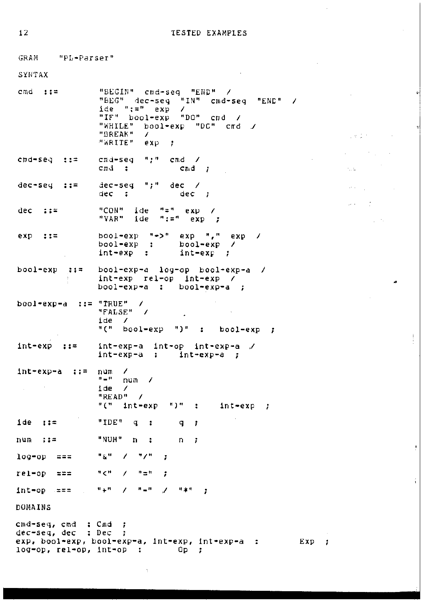us 13 m

 $\sim 1$ 

 $\bar{\rho}$  .

 $\rho \rightarrow$ 

ţ

ł.

GRAM "PL-Parser" SYNTAX "BEGIN" cmd-seq "END" /  $cmd$ ::= "BEG" dec-seq "IN" cmd-seq  $"EMD"$  / ide  $" := " \text{exp}$  / "IF" bool-exp "DO" cmd  $\overline{1}$ "WHILE" bool-exp "DC" cmd / "BREAK"  $\overline{I}$ "WRITE" exp  $\cdot$  :  $\mathbf{u}$  ,  $\mathbf{u}$  $cmd = seq : :=$ cmd-seq  $cmd$  /  $cmd$  :  $Cnd$  ;  $dec-seq \quad "j"$  $dec-seq ::$  $dec$  /  $dec$ ;  $dec$ ; "CON" ide "=" exp / dec  $\mathbf{r}$ : "VAR" ide " $t =$ " exp ; bool=exp  $"$  >" exp  $"$ ," exp  $117$ exp / bool=exp : bool-exp  $\prime$ int-exp : int-exp - 7 bool-exp  $\therefore$   $\therefore$   $=$ bool-exp-a log-op bool-exp-a / int-exp rel-op int-exp / bool-exp-a : bool-exp-a ; bool-exp-a ::= "TRUE" / "FALSE" / ide.  $\overline{\phantom{a}}$  $"("" book=exp "")" :$ bool-exp  $\cdot$  : int-exp  $7.17$ int-exp-a int-op int-exp-a /  $int-exp-a$  :  $int-exp-a$ ;  $\prime$  $Int+exp-a$   $:=$ num  $\mathbf{B}=\mathbf{B}$ num / ide  $\prime$ "READ"  $\overline{\phantom{a}}$  $"$  (  $"$  $"$ int-exp int-exp  $\mathbf{r}$ - 7  $ide$  ::=  $"IDE"$  $\mathbf q$  $\colon$  $\mathbf{q}$  $\ddot{\phantom{0}}$ "NUM" num  $-117$  $\mathbf n$  $\ddot{\phantom{a}}$ n  $\mathbf{r}$ log-op  $= 22$  $\mathbf{u}$   $\mathbf{g}$  in  $\prime$  $"I"$ Ŧ  $z = z$  $^{\rm H}$   $<$   $^{\rm H}$  $\mathbf{n} \equiv \mathbf{n}$  $rel$ -op  $\overline{ }$ ÷  $\mathbf{u} + \mathbf{u}$  $H_{\rm{min}}H$  $\mathbf{H}$  is at  $int-op = ==$  $\prime$  $\mathcal{L}$  $\cdot$ DOMAINS cmd-seq, cmd : Cmd ; dec-seq, dec : Dec ; exp, bool-exp, bool-exp-a, int-exp, int-exp-a : Exp ; log-op, rel-op, int-op :  $\mathbb{Q}_p$  ;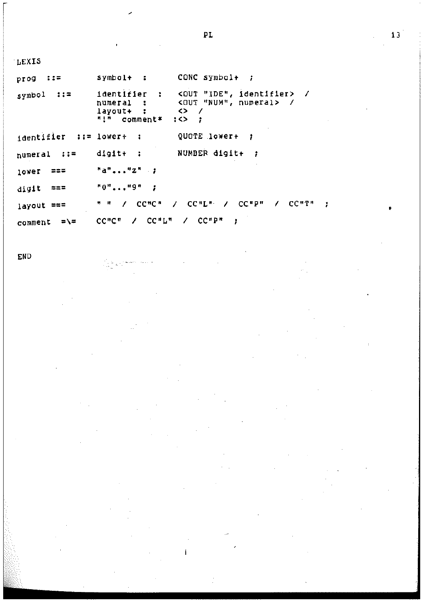| <b>LEXIS</b>             |                                                                                                                                                                                       |
|--------------------------|---------------------------------------------------------------------------------------------------------------------------------------------------------------------------------------|
| $\cdots$<br>prog         | CONC symbol+ $\mathfrak{z}$<br>symbol+ :                                                                                                                                              |
| symbol $\mathfrak{z}$ := | identifier : < OUT "IDE", identifier> /<br><out "num",="" numeral=""> /<br/>numeral :<br/><math>\leftrightarrow</math> /<br/>lavout+ :<br/>"!" comment*<br/><math>35 - 2</math></out> |
| identifier : := lower+ : | QUOTE lower+ ;                                                                                                                                                                        |
| numeral ::=              | NUMBER digit+ ;<br>$dist+$ :                                                                                                                                                          |
| ≈≈≈<br>lower             | $"a""z"$ ;                                                                                                                                                                            |
| $\text{digit}$ ===       | "0""9"                                                                                                                                                                                |
| layout ===               | $\angle$ CC"L" $\angle$ CC"P"<br>⁄ CC"T"<br>7 CC "C "<br>11 H                                                                                                                         |
| somment =\=              | - ⁄ CC"P"<br>$CCnCCn$ $\rightarrow$ $CCnLCn$                                                                                                                                          |

END

 $PL$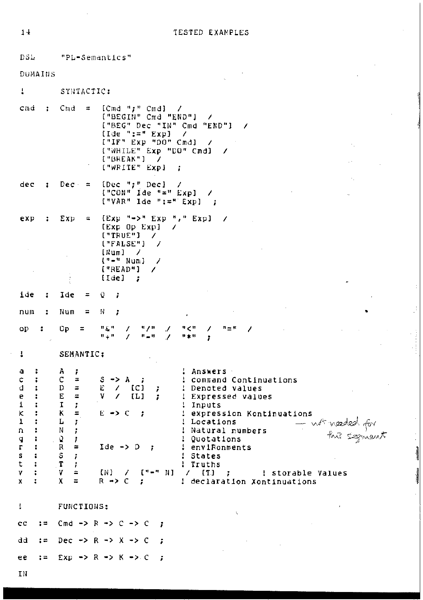DSL "PL-Semantics"

DUMAINS

 $\mathbf{I}$ SYNTACTIC:

|  | clīnd : Chad = | [Cmd ";" Cmd] /<br>["BEGIN" Cmd "END"]<br>["BEG" Dec "IN" Cmd "END"]<br>$\left[1\text{de }\text{":="\ Exp}\right]$ /<br>$[$ "IF" Exp "DO" Cmd} /<br>["WHILE" Exp "DO" Cmd]<br>["BREAK"] |  |
|--|----------------|-----------------------------------------------------------------------------------------------------------------------------------------------------------------------------------------|--|
|  |                | $["WRITE" Exp]$ ;                                                                                                                                                                       |  |

[Dec ";" Dec] /<br>["CON" Ide "=" Exp] / dec  $\ddot{\phantom{a}}$  $Dec - =$  $[$  "VAR" Ide ":=" Exp] ;

exp  $\mathbf{r}$ Exp  $\tilde{\mathbf{u}}$  ${Exp ^{-n}} \rightarrow^{n} Exp ^{-n} {F}$  Exp] / (Exp Op Exp)  $\lambda$  $["TRUE"]$  /  $("FALSE")$  /  $[Num]$  /  $[- - 4 \text{ Num}]$  /  $["RED"]$  /  $\frac{1}{3}$  $[1de]$  ;

ioe  $\mathbf Q$  $\ddot{\ddot{\textbf{z}}}$ Ide  $\equiv$ t

 $\mathbf{N}$ num ÷ Num  $\equiv$ 

 $\mathcal{J}$  $\mathbf{R}^{(n)}$  $^{\prime\prime}$ / $^{\prime\prime}$  $^6<^{\prime\prime}$  $\lambda$  $\mathbf{n}=\mathbf{n}$ op  $\ddot{\phantom{a}}$  $Op =$  $\mathcal{L}$  $\mathbf{u} + \mathbf{u}$  $\lambda$  $\mathbf{H}=\mathbf{H}$  $\lambda$ 开案件  $\mathbf{r}$ 

 $\sim$ 

ţ.

SEMANTIC:

ŧ

| a            | А  |          |                      | Answers                                           |
|--------------|----|----------|----------------------|---------------------------------------------------|
| c            | c  |          | $S \rightarrow A$    | : command Continuations                           |
| d            | D  |          | Ε<br>[CI]            | : Denoted values                                  |
| e            | E  | $\equiv$ | V<br>[L]             | : Expressed values                                |
|              |    |          |                      | Inputs                                            |
| $\kappa$     | к  |          | $E \rightarrow C$    | ! expression Kontinuations                        |
|              |    |          |                      | Locations                                         |
| n            | N  |          |                      | not needed for<br>this segment<br>Natural numbers |
| q            | -9 |          |                      | ! Quotations                                      |
| $\mathbf{r}$ | R  | $\equiv$ | $Ide \rightarrow D$  | ! enviRonments                                    |
| S.           | S  |          |                      | States                                            |
| t            | Т  |          |                      | Truths                                            |
| v            | V  | ≃        | IN)<br>r = - -<br>ΝI | [T]<br>storable Values                            |
| х            |    |          | $R \rightarrow$      | declaration Xontinuations                         |

 $^\star$ 

J.

 $\frac{1}{2}$ 

**AMONG** 

FUNCTIONS:

Cmd  $\rightarrow$  R  $\rightarrow$  C  $\rightarrow$  C  $cc$  $: =$  $\cdot$ dd  $: =$ Dec -> R -> X -> C  $\ddot{\phantom{0}}$  $: =$  $Exp \rightarrow R \rightarrow K \rightarrow$ ee  $\cdot$ 

ţ.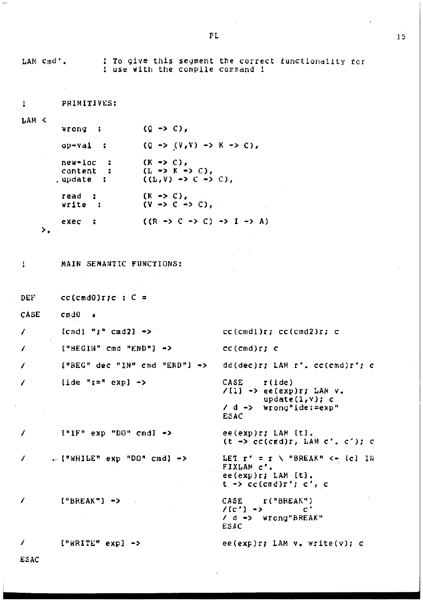: To give this segment the correct functionality for LAM Cmd'. ! use with the compile command ! PRIMITIVES:  $\ddot{\phantom{a}}$ LAM <  $(Q \rightarrow C)$ , wrong :  $(Q \rightarrow (V,V) \rightarrow K \rightarrow C)$ ,  $op - val:$ new-loc  $(K \rightarrow C)$ , л.  $(L \rightarrow K \rightarrow C)$ , content  $\mathbf{r}$  $(L, V) \rightarrow C \rightarrow C$ . .update : read :  $(K \rightarrow C)$ .  $(V \rightarrow C \rightarrow C)$ , write :  $exec :$  $((R \rightarrow C \rightarrow C) \rightarrow I \rightarrow A)$  $\mathcal{L}$ ŧ MAIN SEMANTIC FUNCTIONS: DEF cc(cmd0)r;c :  $C =$ CASE  $cmd0 =$  $lcmd1 "j" cmd2] ->$ 1  $cc$ (cmd1) $r$ ;  $cc$ (cmd2) $r$ ; c  $["BEGIN"' end "END"]$  ->  $\prime$  $cc$ (cmd) $r$ ; c  $["BEG"$  dec " $IN"$  and " $END"$ ] -> 7 dd(dec)r; LAM r', cc(cmd)r'; c  $\{ide ":=" exp] \rightarrow$  $CASE$   $I(de)$  $\prime$  $/11$ ] -> ee(exp)r; LAM v.  $update(1, v); c$ / d -> wrong"ide:=exp" ESAC  $[$ "IF" exp "DO" cmdl ->  $\prime$ ee(exp)r; LAM [t].  $(t \rightarrow c(c\text{rad})r,$  LAM  $c'$ ,  $c')$ ; c LET  $r' = r$  \ "BREAK" <- (c) IN . ["WHILE" exp "DO" cmd] -> 7 FIXLAM c'.<br>ee(exp)r; LAM [t].  $t \rightarrow cc(cmd)r'$ ; c', c  $['BREAK"] \rightarrow$ CASE r("BREAK") 7  $/(c') \mathbf{c}^{\star}$ / d -> wrong"BREAK" **ESAC** ["WRITE" exp] -> 7  $ee(exp)r$ ; LAM  $v_*$  write(v); c ESAC

PL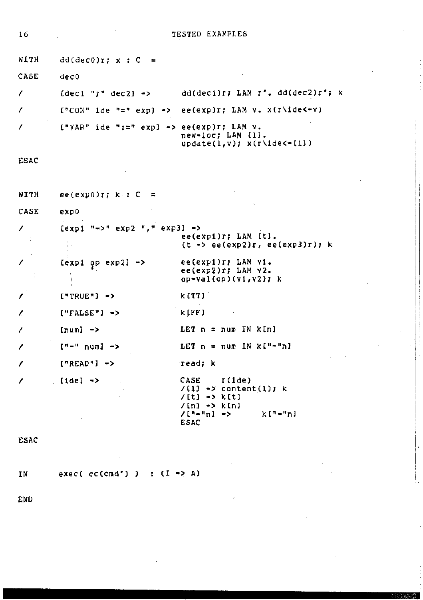|                                                                          | TESTED EXAMPLES                                                                                                     |
|--------------------------------------------------------------------------|---------------------------------------------------------------------------------------------------------------------|
| $dd(dec0)r; x; C =$                                                      |                                                                                                                     |
| dec0                                                                     |                                                                                                                     |
|                                                                          | [deci ";" dec2] -> dd(deci)r; LAM $r'$ , dd(dec2)r'; x                                                              |
|                                                                          | $[{}^n$ CON" ide "=" exp] -> ee(exp)r; LAM v. x(r\ide<-v)                                                           |
| ${\rm FVAR}$ " ide ":=" expl => ee(exp)r; LAM v.                         | new-loc; LAM [1].<br>$update(1, v); x(r\idec-[1])$                                                                  |
|                                                                          |                                                                                                                     |
| ee(exp0)r; $k : C =$                                                     |                                                                                                                     |
| exp0                                                                     |                                                                                                                     |
| $\text{[exp1}$ "->" $\text{exp2}$ "," $\text{exp3}$ -><br>公              | ee(exp1)r; LAM [t].<br>$(t \rightarrow ee(exp2)r, ee(exp3)r); k$                                                    |
| $\begin{bmatrix} \text{exp1} & \text{op} & \text{exp2} \end{bmatrix}$ -> | ee(exp1)r; LAM v1.<br>ee(exp2)r; LAM v2.<br>$op{-val(op)(v1,v2)}$ ; k                                               |
| $['TRUE"] \rightarrow$                                                   | kittl:                                                                                                              |
| $["FALSE"]$ ->                                                           | k [FF]                                                                                                              |
| (num) ->                                                                 | LET $n = num IN K[n]$                                                                                               |
| ["-" num] ->                                                             | LET $n = num IN K("-"n)$                                                                                            |
| $['READ"]$ ->                                                            | read; k                                                                                                             |
| $[1de]$ $\rightarrow$                                                    | $CASE$ $r(1de)$<br>/{1} -> content(1); k<br>/[t] -> k[t]<br>/[n] -> k[n]<br>$/$ ["-"n] -><br>k["-"n]<br><b>ESAC</b> |
|                                                                          |                                                                                                                     |
| exec(cc(cmd')) : $(I \rightarrow A)$                                     |                                                                                                                     |
|                                                                          |                                                                                                                     |
|                                                                          |                                                                                                                     |

l,

 $\mathbb{Z}^{\mathbb{Z}}$ 

l,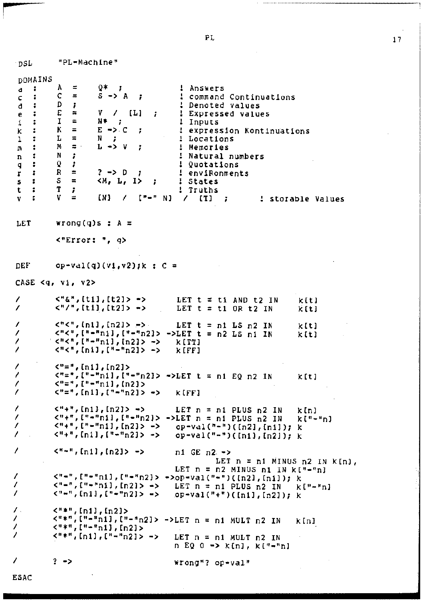"PL-Machine" ∴nSL DOMAINS  $0*$ ÷ Α  $\equiv$ -7 ! Answers a  $S \rightarrow A$  $\ddot{\phantom{a}}$ C  $\equiv$ ÷ : command Continuations ¢ D d  $\ddot{\cdot}$ Ŧ : Denoted values  $\mathbf{v}$  $\prime$ E  $\approx$  $[1]$ ! Expressed values ÷ ÷ e N#  $\ddot{\phantom{a}}$ 1  $\equiv$  $\ddot{\phantom{0}}$ ! Inputs 1  $\equiv$  $E \rightarrow C$ ÷ κ  $\ddot{ }$ : expression Kontinuations k L  $\equiv$ N : Locations t 1  $\equiv$  .  $L \rightarrow V$ М ÷ ż Memories  $\mathbf{n}$  $\ddot{\phantom{a}}$ N ÷ Natural numbers  $\mathbf n$ q ÷  $\Omega$ J, ÷ Quotations R  $\equiv$  $?$   $\rightarrow$   $D$ ĭ  $\blacksquare$ ÷ enviRonments r  $< M$ , L, I> S  $\equiv$ ! States ÷ ž s T t ÷ Ť. ! Truths v  $\equiv$ [N]  $[$ "-" N] v ÷  $\prime$  $(T)$  $\cdot$ ! storable Values LET wrong(q)s :  $A =$  $\langle$ "Error: ", q> DEF  $op{-val(q)(v1,v2)}$ ;  $k : C =$ CASE <q, vi, v2>  $<$ "&", [t1], [t2]> -> 7 LET  $t = t1$  AND  $t2$  IN  $k[t]$  $<$ "/", [t1], [t2]> -> LET  $t = t1$  OR  $t2$  IN 7 k[t] 7  $\langle$ "<", [n1], [n2]> -> LET  $t = n1$  LS  $n2$  IN  $k[t]$  $\langle$ " $\langle$ ", ["-"ni], ["-"n2]> ->LET t = n2 LS ni IN 1 k [t]  $\langle$ "<", ["-"n1], [n2]> -> k[TT]  $\langle$ "<", [ni], ["-"n2]> ->  $\overline{\phantom{a}}$ k[FF]  $\overline{\phantom{a}}$  $\langle$ "=", [n1], [n2]> Í  $\langle$ "=",["-"ni],["-"n2]> ->LET t = n1 EQ n2 IN k[t]  $\langle$ "=", ["="n1], [n2]> Z Î  $\langle$ "=", [n1], ["-"n2]> -> k[FF]  $\overline{\phantom{a}}$  $\langle$ "+", [n1], [n2]> -> LET  $n = n1$  PLUS  $n2$  IN k In I  $\langle$ "+", ["-"ni], ["-"n2]> ->LET n = n1 PLUS n2 IN 1  $k$ ["-"n]  $\langle$ "+", ["-"n1], [n2]> -> I  $op=Val("=")(In2], In1])$ ; k 7  $\langle$ "+", [n1], ["-"n2]> -> op-val("-")( $[n1], [n2])$ ; k  $\overline{\phantom{a}}$  $\zeta^{n-n}$ , [n1], [n2]> ->  $n1$  GE  $n2$   $\rightarrow$ LET  $n = n1$  MINUS  $n2$  IN  $k[n]$ . LET  $n = n2$  MINUS n1 IN  $k[-n]$  $\langle$ "-", ["-"n1], ["-"n2]> ->op-val("-")([n2], [n1]); k 7 Í  $\langle$ "-", ["-"ni], [n2]> ->  $k$ <sup>\*</sup> $-$ <sup>n</sup>n<sup>1</sup> LET  $n = n1$  PLUS  $n2$  IN  $\overline{\phantom{a}}$  $\zeta^{n+1}$ , [n1], ["-"n2]> -> op-val("+")([n1],[n2]); k 7  $\langle$ "\*", [n1], [n2]>  $\langle$ "\*", ["-"n1], ["-"n2]> ->LET n = n1 MULT n2 IN Í kinl  $<sup>n</sup>$ \*", ["-"n1], [n2]></sup> I Í  $\langle$ "\*", [n1], ["-"n2]> -> LET  $n = n1$  MULT  $n2$  IN  $n EQ 0 \rightarrow k[n], k[1 - n]$ 1  $2 - 2$ Wrong"? op-val"

**ESAC** 

ΡL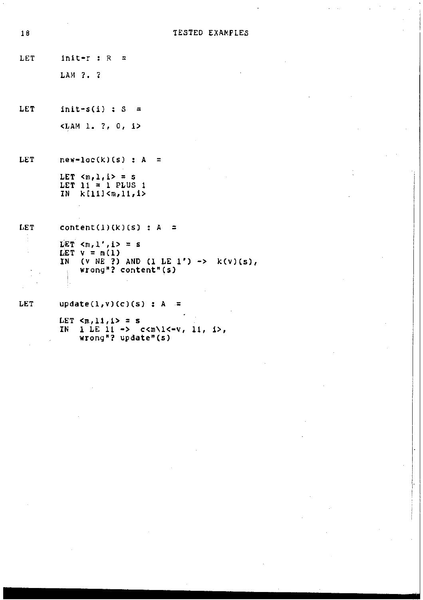```
LET init-r : R =LAM ?. ?
```
LET init  $s(i)$  : S =  $SLAM$  1, ?, 0, i>

LET  $new-loc(k)(s)$  : A = LET  $= s$ <br>LET  $1i = 1$  PLUS 1 IN k(llJ<m,ll,i>

```
LET 
        content(1)(k)(s) : A =
```

```
LET \langle m, 1', i \rangle = sLET v = m(1)IN (V NE ?) AND (1 LE 1') \rightarrow k(v)(s),
     wrong "? content" (s)
```
LET update $(1, v)$ (c)(s) : A =

```
LET \langle m,11,1\rangle = s<br>IN l LE 11 -> c\langle m\rangle1<-v, 11, 1>,
       wrong"? update"(s)
```
 $\mathcal{L}$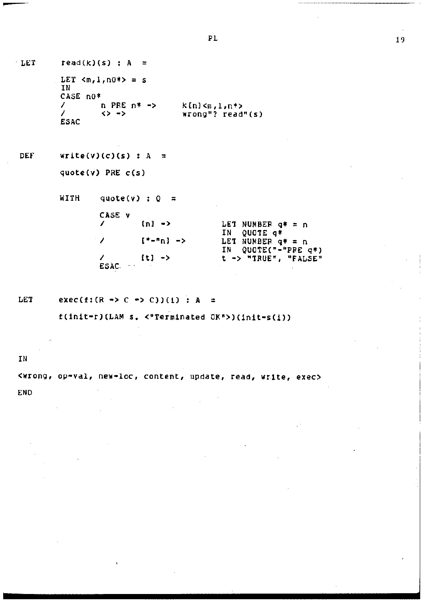$-LET$ 

read(k)(s) ;  $A =$ LET  $\langle m, 1, n0*\rangle = s$ IN CASE no\*  $\mathcal{L}$  $n$  PRE  $n* \rightarrow$  $k[n]{<}\kappa,1,n^*{>}$  $\mathcal{L}$ wrong"? read"(s)  $\leftrightarrow$   $\rightarrow$ **ESAC** 

**DEF**  $write(v)(c)(s) : A =$ 

quote( $v$ ) PRE  $c(s)$ 

WITH quote(v) :  $Q =$ 

| CASE v        |                       |                      |
|---------------|-----------------------|----------------------|
|               | $n \rightarrow$       | LET NUMBER $q* = n$  |
|               |                       | IN OUCTE G*          |
| $\sim$ $\sim$ | $[- -n] \rightarrow$  | LET NUMBER $q* = n$  |
|               |                       | IN QUOTE("-"PRE q*)  |
|               | $\{1\}$ $\rightarrow$ | t -> "IRUE", "FALSE" |
| ESAC          |                       |                      |

LET exec(f:(R -> C -> C))(1) : A =

f(init-r)(LAM s. <"Terminated OK">)(init-s(i))

IN

Kwrong, op-val, new-loc, content, update, read, write, exec>

**END**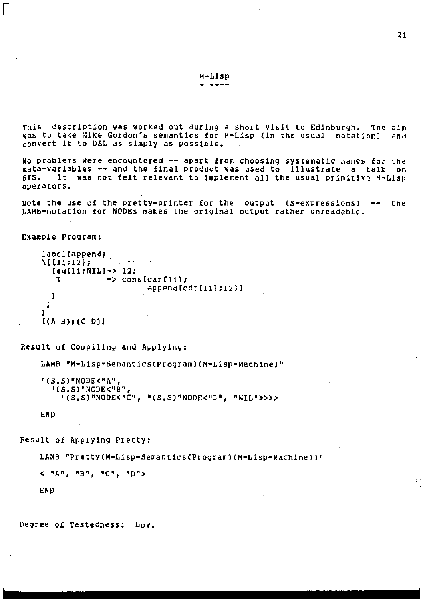ThiS description was worked out during a short visit to Edinburgh. The aim was to take Hike Gordon's semantics for M-Lisp (in the usual notation) and convert it to DSL as simply as possible.

No problems were encountered -- apart from choosing systematic names for the meta-variables -- and the final product was used to illustrate a talk on<br>SIS. It was not felt relevant to implement all the usual primitive M-Lisp operators.

Note the use of the pretty-printer for the output  $(s$ -expressions) -- the LAMB-notation for NODEs makes the original output rather unreadable.

```
Example Program:
```

```
label[append; 
\Upsilon[[li;l2];
    \begin{array}{cc}\n\text{[eq[1]:NIL]}-\text{>12;} \\
\text{T}\n\end{array}\rightarrow cons[car[li];
    l 
 \mathbf{I}l 
                                             append(cdr(lll;l2ll
```
[(A BJ;(C Dll

Result of Compiling and\_ Applying:

LAMB "M-Lisp-Semantics (Program) (M-Lisp-Machine)"

```
"(S.S)"NOOE<"A", 
  "CS.S)"NODE<"B", 
    "(S.S)"NODE<"C", "(S.S)"NODE<"C", "NIL">>>>
```
END

Result of Applying Pretty:

LAMB "Pretty(M-Lisp-Semantics(Program)(M-Lisp-Machine))"

<"A", "8", "C", "D">

END

Degree of Testedness: Low.

M•Lisp ----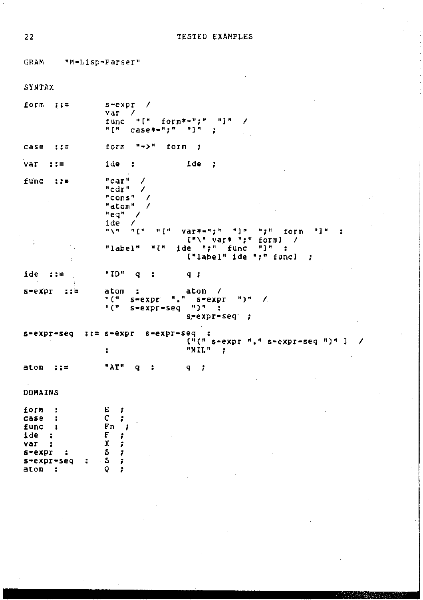CRAM "M-Lisp-Parser"

| SYNTAX                                                                                       |                                                                                                                                                                                                                                                                          |
|----------------------------------------------------------------------------------------------|--------------------------------------------------------------------------------------------------------------------------------------------------------------------------------------------------------------------------------------------------------------------------|
| form ::=                                                                                     | s-expr /<br>var<br>$\overline{\phantom{a}}$<br>func "[" form**";" "]"<br>7<br>"[" case*-";" "]" ;                                                                                                                                                                        |
| case ::=                                                                                     | form "->" form<br>- 7                                                                                                                                                                                                                                                    |
| var ::=                                                                                      | i de l<br>ide ;<br>- :                                                                                                                                                                                                                                                   |
| func<br>11=                                                                                  | "car" $\prime$<br>"cdr"<br>$\prime$<br>"cons" /<br>"atom" /<br>"eg"<br>$\overline{ }$<br>ide<br>$\prime$<br>"\" "[" "[" var#w";" "]" ";" form<br>#1# -<br>$\{\top\setminus$ " var# ";" form] /<br>"label"<br>мін —<br>ide ";" func<br>"1"<br>{"label" ide ";" func]<br>÷ |
| $ide :: =$                                                                                   | "ID"<br>$\sqrt{q}$ :<br>9:7                                                                                                                                                                                                                                              |
| $s$ -expr $:$ $*$                                                                            | atom<br>atom /<br>з.<br>비(비)<br>$s$ -expr $"$ ." $s$ -expr ")" /<br><b>ዞ ( ™</b><br>s-expr-seq ")"<br>х.<br>$s = \exp r - \sec q$                                                                                                                                        |
|                                                                                              | $s$ -expr-seq $s: = s$ -expr $s$ -expr-seq $s$<br>$[!(" s*expr "," s*expr*seq ")"]$<br>$"NIL"$ ;<br>÷                                                                                                                                                                    |
| $atom$ ::=                                                                                   | "AT" q<br>9 <sub>z</sub><br>:                                                                                                                                                                                                                                            |
| DOMAINS                                                                                      |                                                                                                                                                                                                                                                                          |
| form<br>case<br>func<br>i de<br>н<br>var<br>:<br>s-expr<br>÷<br>s-expr-seq<br>÷<br>atom<br>: | E<br>÷<br>c<br>Fn<br>F<br>x<br>s<br>s<br>Q                                                                                                                                                                                                                               |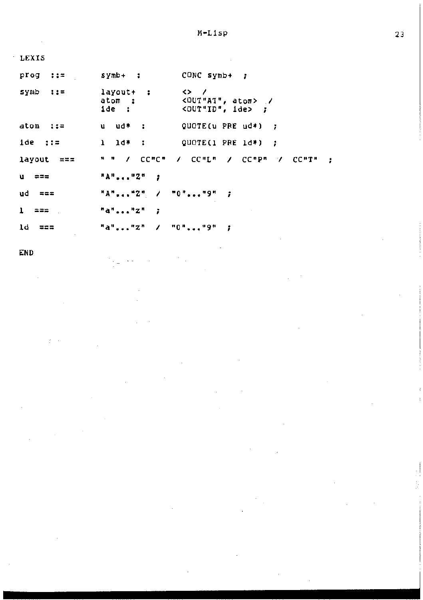| LEXIS               |                              |                                                                                           |
|---------------------|------------------------------|-------------------------------------------------------------------------------------------|
| prog<br>$\cdots$    | symb+ ;                      | $CONC$ symb+ $\uparrow$                                                                   |
| symb<br>- 115       | layout+ :<br>atom :<br>ide : | $\leftrightarrow$ /<br><out"at", atom=""> /<br/><out"id", ide=""> ;</out"id",></out"at",> |
| atom ::=            | u ud≭ ;                      | QUOTE(u PRE $ud*$ ) ;                                                                     |
| $\mathbf{1}$ de ::= | $1$ $1d$ :                   | QUOTE(1 PRE $1d$ *) :                                                                     |
| layout ===          | <b>ዛ ¤ / ርር</b> ¤ሮ®          | A COMEM A COMPM A COMIN<br>- 1                                                            |
| u                   | $H = 2.1$                    |                                                                                           |
| ud<br>ニニニ           | "A""2" / "O""9" ;            |                                                                                           |
| ı<br>222            | "a",  "z"<br>- 1             |                                                                                           |
| 1d<br>로프로           | "a""Z"                       | <b>7. "O""9"</b>                                                                          |

END

 $2\bar{3}$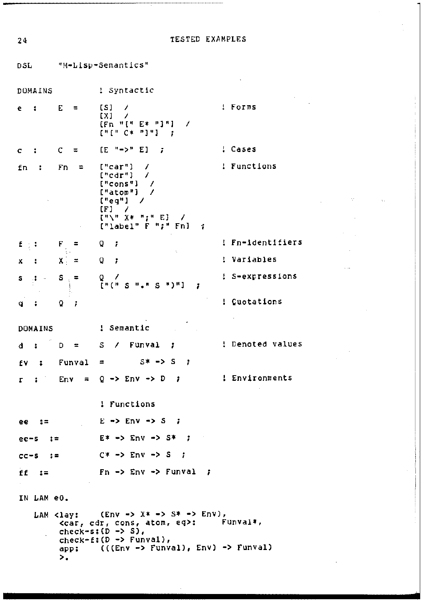"M-Lisp-Semantics" **DSL** ! Syntactic DOMAINS ! Forms  $e$  $\sim$  1 Е.  $\equiv$  $S1$  $\prime$  $[XX]$  $\overline{\phantom{a}}$  $[Fn "I" E* "I"]$  $\overline{\phantom{a}}$  $[1 + [1 + C* - 1] + ] - 1$  $[E^{\mu} \rightarrow^{\mu} E]$ ; : Cases  $\mathbf{r}$  $\mathbf C$  $\equiv$  $\mathbf C$  $['"car"]$ ! Functions Fn  $\overline{\phantom{a}}$ fn - 1  $\equiv$  $["cat"]$  $\lambda$  $[$ "cons"]  $\overline{\phantom{a}}$ ["atom"]  $\overline{\phantom{a}}$  $["eq"]$  $\prime$  $[F]$  $[$ "\" X\* ";" E] - 7  $[''label" F "f" Fn]$  $\mathbf{F}_{\frac{1}{2}}$ ! Fn-identifiers f  $\pm$  3  $\ddot{=}$ o Ť o ! Variables  $X =$ ÷  $\boldsymbol{\mathsf{x}}$  $\cdot$ : S-expressions S S  $\Lambda$  $\equiv$ Q EHEH S.H.A  $-0.303$  $\mathbf{s}$ ÷ ! Cuotations  $\bf Q$ ï q  $\ddot{\phantom{a}}$ DOMAINS ! Semantic ! Denoted values Funval D  $\blacksquare$  $S/I$ Ŧ. đ  $\ddot{\phantom{a}}$ Funval  $\equiv$  $S^* \rightarrow S$  $\cdot$ f٧  $\ddot{\cdot}$  $Q \rightarrow EnV \rightarrow D$ ! Environments  $\mathbf{z}$ Env  $\equiv$  $\rightarrow$ г ! Functions  $E \rightarrow Env \rightarrow S$ ee  $: =$  $\mathbf{r}$  $E^* \rightarrow EnV \rightarrow S^*$  $ee-S$  $C* \rightarrow Env \rightarrow S$ ;  $cc-S$  $\therefore$ ff  $Fn \rightarrow Env \rightarrow Funval$ - 1  $t =$ IN LAM e0.  $(Env \rightarrow X^* \rightarrow S^* \rightarrow Env),$ LAM <lay: <car, cdr, cons, atom, eq>: Funval#,  $check=sign(1 - 5)$ ,  $check*f:(D \rightarrow Funval),$  $((Env -> Funval), Env) -> Funval)$ app:  $\mathbf{p}_\bullet$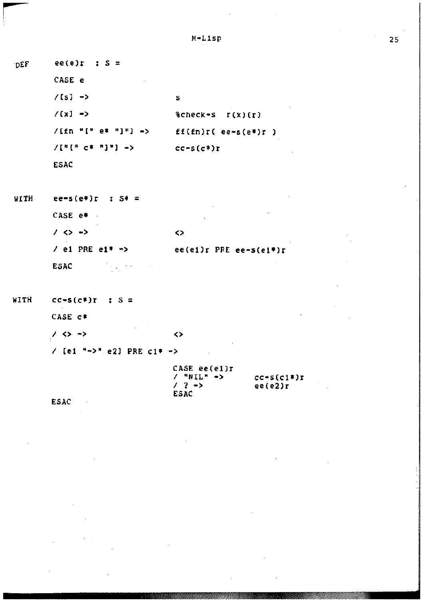| DEF | $ee(e)$ : $S =$           |                          |
|-----|---------------------------|--------------------------|
|     | CASE e<br><b>Contract</b> |                          |
|     | $/$ [s] $\rightarrow$     | s                        |
|     | $/(x) \rightarrow$        | $%check-S I(X)(r)$       |
|     | $/$ [fn "[" e* "]"] ->    | $ff(fn)r($ ee-s(e*)r $)$ |
|     | /["[" c* "]"] ~>          | $CC-S(C*)r$              |
|     | ESAC                      |                          |

| тттн | $ee-s(e*)r$ ; $S^* =$                  |                             |
|------|----------------------------------------|-----------------------------|
|      | CASE e*                                | п.                          |
|      | $\prime$ <> $\rightarrow$              | ◇                           |
|      | $/$ e1 PRE e1* $\rightarrow$           | $ee(e1)$ r PRE $ee-s(e1*)r$ |
|      | <b>ESAC</b><br>$\sim 100$ km s $^{-1}$ |                             |

WITH  $cc-s(c*)r$  ;  $S =$ CASE C\*  $/$  <>  $\rightarrow$  $\leftrightarrow$ / [e1 "->" e2] PRE c1\* ->

| CASE ee(el)r             |              |
|--------------------------|--------------|
| $\prime$ "NII" ->        | $cc-s(c1*)r$ |
| $\prime$ ? $\rightarrow$ | ee(e2)r      |
| ESAC                     |              |

**ESAC**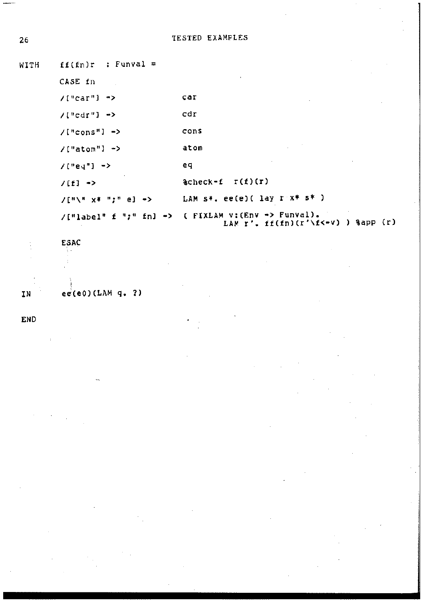```
26 TESTED EXAMPLES
```
WITH **ff(fn)r** : Funval = CASE fn **/[ <sup>11</sup> car"l** -> car **/{"cdr"J** -> cdr **/("cons"l** -> **cons /["atom"l** -> **atom**   $/(^neq)^n$   $\rightarrow$ eq  $I(f) \rightarrow$  & \$check-£ r(f)(r) **LAM s\*. ee(e)( lay r x\* s\*** ) /["\" **X\* n;n e)** -> **/[ <sup>11</sup> label" f** "•" • **fnl** •> **FIXLAM v:(Env •> Funval).** LAM  $r'$ . ff(fn)(r'\f<-v) ) %app (r)

ESAC  $\sim$ IN ee(e0)(LAM q. ?)

END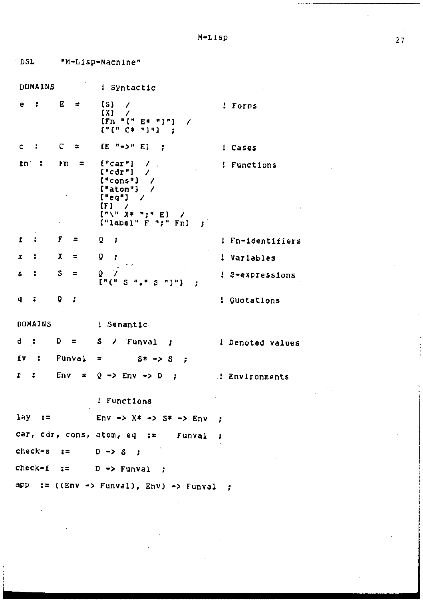DOMAINS : Syntactic  $e$  : E  $\equiv$  $[<sub>S</sub>]$  $\overline{ }$ ! Forms  $[<sub>X</sub>]$  $\prime$  $[Fn - 1]$   $F + F + -1$  $\overline{\phantom{a}}$  $[111 \text{ C* } 111]$  $\epsilon$ ×  $\overline{c}$  $\hat{\Xi}$  $[E^{-n}$  =>\* E] ; ! Cases Fn  $\blacksquare$  $["car"]$  $fn$ :  $\mathcal{L}$ ! Functions  $\mathbb{R}$  $["cdr"]$  $\mathcal{L}$  $['cons"]$  $\overline{\phantom{a}}$  $['atom"]$  /  $["eq"]$  $\mathcal{L}$  $[**F**]$  /  $\begin{bmatrix} \pi \end{bmatrix}$  "  $X \ast \pi$ , "  $E$ ]  $\overline{\phantom{a}}$  $[$ "label"  $F$  " $F$ "  $F$ n] ; t in  $\mathbf{f}$ ÷. F Q ! Fn-identifiers  $\blacksquare$ ÷ x  $\mathbf x$  $\ddot{\phantom{a}}$  $\equiv$ o - 7 ! Variables S  $\mathcal{L}$ o s ÷  $\mathbf{m}$ ! S-expressions **IPCH S H.H S HIMI** ÷  $Q \rightarrow$  $\mathbf{q}$  $\cdot$ ! Cuotations DOMAINS ! Semantic d.  $\mathbf{r}$  $D = \pm$ S. / Funval ; ! Denoted values fv  $\ddot{\phantom{a}}$ Funval  $\equiv$  $S^* \rightarrow S$  $\mathbf{r}$  $\mathbf{r}$  $Env =$  $Q \rightarrow$  Env  $\rightarrow$  D  $\rightarrow$ . Environments ! Functions  $lay :=$ Env ->  $X^*$  ->  $S^*$  -> Env ÷  $car, car, cons, atom, eq :=$ Funval ÷  $check- s :=$  $D \rightarrow S$ ; check-f  $\mathbf{r}$  $D \rightarrow Funval$ app := ((Env -> Funval), Env) -> Funval ;

DSL<sup>.</sup>

"M-Lisp-Machine"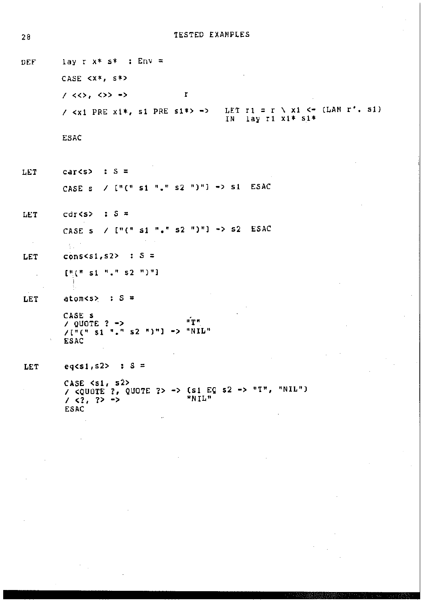**TESTED EXAMPLES** 

lav r  $x*$   $s*$  :  $Env =$ DEF CASE  $\langle x^*, s^*\rangle$  $150,0000$  $\mathbf r$ LET  $r1 = r \setminus x1 \leftarrow (LAM r', s1)$ /  $\langle x1$  PRE  $x1*,$  si PRE si\*> -> IN lay r1 x1\* s1\* **ESAC** LET car<s>  $\therefore$   $S =$ /  $[!(" s1 "." s2 ")!]$  -> s1 ESAC CASE s LET  $cdr(s)$  :  $S =$ CASE s /  $\lceil \cdot \rceil$  s1 ", " s2 ")"] -> s2 ESAC  $\sim$  $\frac{1}{2}$  . **LET** cons<s1, s2>  $: S =$  $[1(n+1)1]$   $[1(n+1)2]$ LET  $atoms > : S =$ CASE S и́ти  $\sqrt{QU}$ OTE ? ->  $/1^{n}$ (\* 51 "." 52 ")"] -> "NIL" **ESAC** eq<s1,s2> : S = **LET** /  $\overline{C}$   $\overline{C}$   $\overline{C}$   $\overline{C}$   $\overline{C}$   $\overline{C}$   $\overline{C}$   $\overline{C}$   $\overline{C}$   $\overline{C}$   $\overline{C}$   $\overline{C}$   $\overline{C}$   $\overline{C}$   $\overline{C}$   $\overline{C}$   $\overline{C}$   $\overline{C}$   $\overline{C}$   $\overline{C}$   $\overline{C}$   $\overline{C}$   $\overline{C}$   $\overline{C}$   $\over$ **ESAC**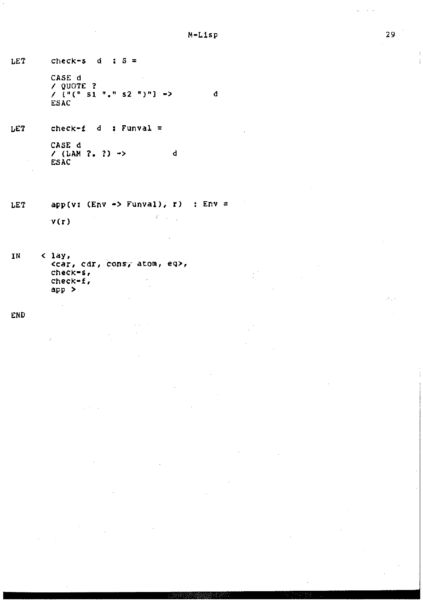d

 $\frac{1}{2}$ 

LET check=s d  $s =$ CASE d I QUOTE ?  $\frac{1}{2}$  [<sup>11</sup>(<sup>1</sup> s1<sup>n</sup> <sup>1</sup> s2<sup>n</sup>)<sup>n</sup>] ->

ESAC

**LET check•f Q : Funval** = CASE d  $/$  (LAM ?, ?)  $\rightarrow$ ESAC d

**app(v: (Env ·> Funval), r) Env** = LET  $\mathcal{A}^{\prime}=\left\langle \mathcal{A}\right\rangle _{0}$ v(r)

**IN < lay <sup>1</sup> <car, cdr 1 C?-ns·,- atom 1 eq>, check-s,**  check-f, **app** >

 $\omega \rightarrow -\omega$ 

END

 $\mathcal{A}_{\mathcal{A}}$  .

 $\mathbf{r}$ ŧ.

 $\sim$   $\sim$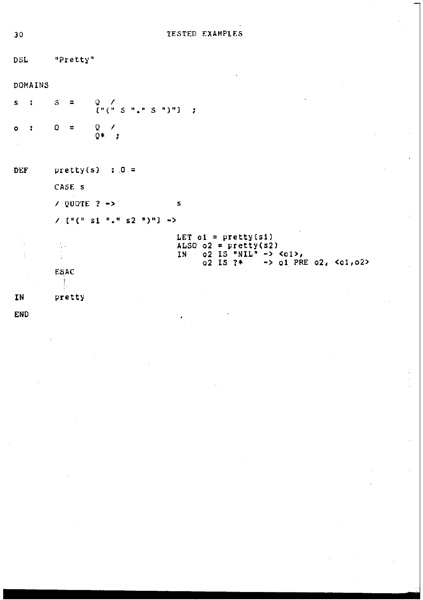| DSL     |                   | "Pretty"                   |                |                                                                                                                                                                                                                                            |                                   |  |                                    |  |                            |  |                            |
|---------|-------------------|----------------------------|----------------|--------------------------------------------------------------------------------------------------------------------------------------------------------------------------------------------------------------------------------------------|-----------------------------------|--|------------------------------------|--|----------------------------|--|----------------------------|
| DOMAINS |                   |                            |                |                                                                                                                                                                                                                                            |                                   |  |                                    |  |                            |  |                            |
| s       |                   | S.                         | $\equiv$       | $\begin{bmatrix} 0 & 0 \\ 0 & 0 \end{bmatrix}$ $\begin{bmatrix} 0 & 0 \\ 0 & 0 \end{bmatrix}$ $\begin{bmatrix} 0 & 0 \\ 0 & 0 \end{bmatrix}$ $\begin{bmatrix} 0 & 0 \\ 0 & 0 \end{bmatrix}$ $\begin{bmatrix} 0 & 0 \\ 0 & 0 \end{bmatrix}$ | - 7                               |  |                                    |  |                            |  |                            |
| $\circ$ |                   | O                          | $\equiv$       | $\frac{0}{0}$ ,                                                                                                                                                                                                                            |                                   |  |                                    |  |                            |  |                            |
| DEF     | $pretty(s)$ : 0 = |                            |                |                                                                                                                                                                                                                                            |                                   |  |                                    |  |                            |  |                            |
|         |                   | CASE s                     |                |                                                                                                                                                                                                                                            |                                   |  |                                    |  |                            |  |                            |
|         |                   |                            | / QUOTE $?$ -> |                                                                                                                                                                                                                                            | s                                 |  |                                    |  |                            |  |                            |
|         |                   | $/$ ["(" si "." s2 ")"] -> |                |                                                                                                                                                                                                                                            |                                   |  |                                    |  |                            |  |                            |
|         |                   |                            |                |                                                                                                                                                                                                                                            | LET $01 = \text{prety}(s1)$<br>1N |  | ALSO $o2 = pretty(s2)$<br>o2 IS ?* |  | $02$ IS "NIL" -> < $01$ >, |  | -> $01$ PRE $02$ , <01,02> |
|         |                   | ESAC                       |                |                                                                                                                                                                                                                                            |                                   |  |                                    |  |                            |  |                            |
| ΙN      |                   |                            | pretty         |                                                                                                                                                                                                                                            |                                   |  |                                    |  |                            |  |                            |

END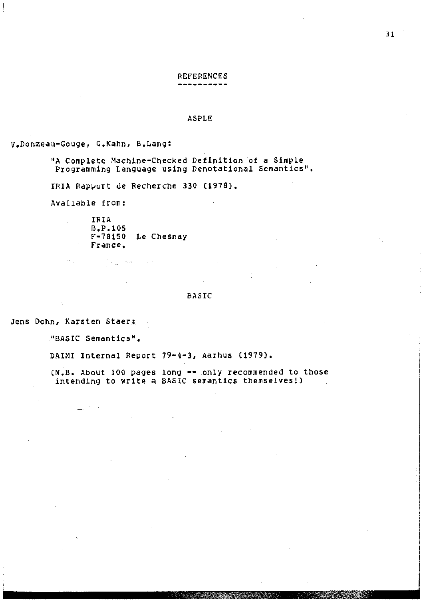## REFERENCES

### ASFLE

V.Donzeau•Gouge, G.Kahn, B.Lang:

"A Complete Machine-Checked Definition ·of a Simple Programming Language using Denotational Semantics".

IRIA Rapport de Recherche 330 (1978).

Available from:

IRIA B,P,!OS f-78150 Le Chesnay France.

**Contractor** 

i jihat jihat<br>Manazarta

### BASIC

Jens Dohn, Karsten Staer;

 $\mathbb{P}^1$  .

"BASIC semantics".

... —

DAIMI Internal Report 79·4-3, Aarhus (1979).

(N.B. About 100 pages long -- only recommended to those intending to write a BASIC semantics themselves!)